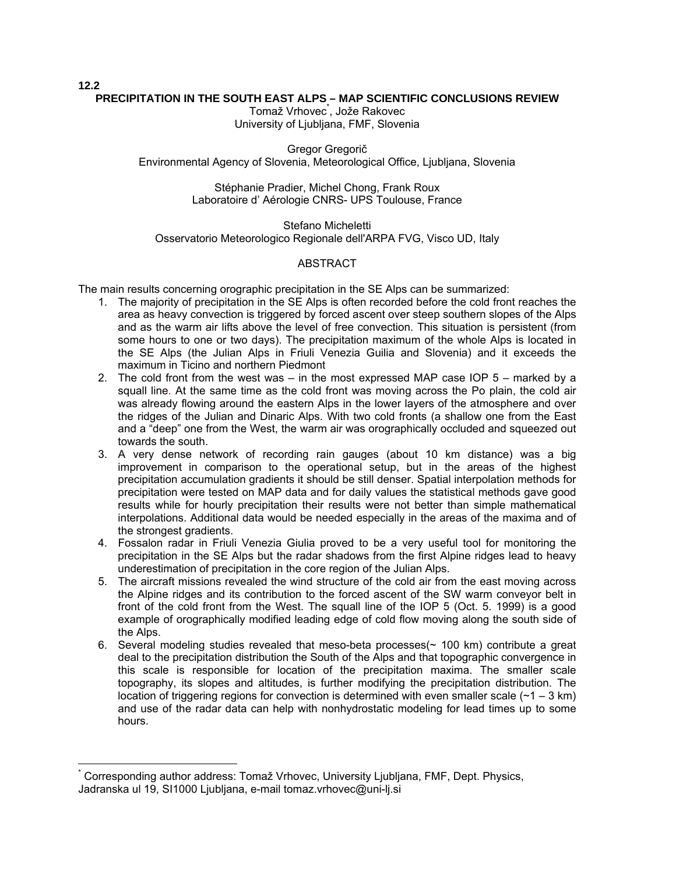### **PRECIPITATION IN THE SOUTH EAST ALPS – MAP SCIENTIFIC CONCLUSIONS REVIEW**

**12.2** 

 $\overline{a}$ 

Tomaž Vrhovec<sup>\*</sup>, Jože Rakovec University of Ljubljana, FMF, Slovenia

Gregor Gregorič Environmental Agency of Slovenia, Meteorological Office, Ljubljana, Slovenia

> Stéphanie Pradier, Michel Chong, Frank Roux Laboratoire d' Aérologie CNRS- UPS Toulouse, France

Stefano Micheletti Osservatorio Meteorologico Regionale dell'ARPA FVG, Visco UD, Italy

### **ABSTRACT**

The main results concerning orographic precipitation in the SE Alps can be summarized:

- 1. The majority of precipitation in the SE Alps is often recorded before the cold front reaches the area as heavy convection is triggered by forced ascent over steep southern slopes of the Alps and as the warm air lifts above the level of free convection. This situation is persistent (from some hours to one or two days). The precipitation maximum of the whole Alps is located in the SE Alps (the Julian Alps in Friuli Venezia Guilia and Slovenia) and it exceeds the maximum in Ticino and northern Piedmont
- 2. The cold front from the west was in the most expressed MAP case IOP 5 marked by a squall line. At the same time as the cold front was moving across the Po plain, the cold air was already flowing around the eastern Alps in the lower layers of the atmosphere and over the ridges of the Julian and Dinaric Alps. With two cold fronts (a shallow one from the East and a "deep" one from the West, the warm air was orographically occluded and squeezed out towards the south.
- 3. A very dense network of recording rain gauges (about 10 km distance) was a big improvement in comparison to the operational setup, but in the areas of the highest precipitation accumulation gradients it should be still denser. Spatial interpolation methods for precipitation were tested on MAP data and for daily values the statistical methods gave good results while for hourly precipitation their results were not better than simple mathematical interpolations. Additional data would be needed especially in the areas of the maxima and of the strongest gradients.
- 4. Fossalon radar in Friuli Venezia Giulia proved to be a very useful tool for monitoring the precipitation in the SE Alps but the radar shadows from the first Alpine ridges lead to heavy underestimation of precipitation in the core region of the Julian Alps.
- 5. The aircraft missions revealed the wind structure of the cold air from the east moving across the Alpine ridges and its contribution to the forced ascent of the SW warm conveyor belt in front of the cold front from the West. The squall line of the IOP 5 (Oct. 5. 1999) is a good example of orographically modified leading edge of cold flow moving along the south side of the Alps.
- 6. Several modeling studies revealed that meso-beta processes( $\sim$  100 km) contribute a great deal to the precipitation distribution the South of the Alps and that topographic convergence in this scale is responsible for location of the precipitation maxima. The smaller scale topography, its slopes and altitudes, is further modifying the precipitation distribution. The location of triggering regions for convection is determined with even smaller scale  $(-1 - 3 \text{ km})$ and use of the radar data can help with nonhydrostatic modeling for lead times up to some hours.

<span id="page-0-0"></span><sup>\*</sup> Corresponding author address: Tomaž Vrhovec, University Ljubljana, FMF, Dept. Physics, Jadranska ul 19, SI1000 Ljubljana, e-mail tomaz.vrhovec@uni-lj.si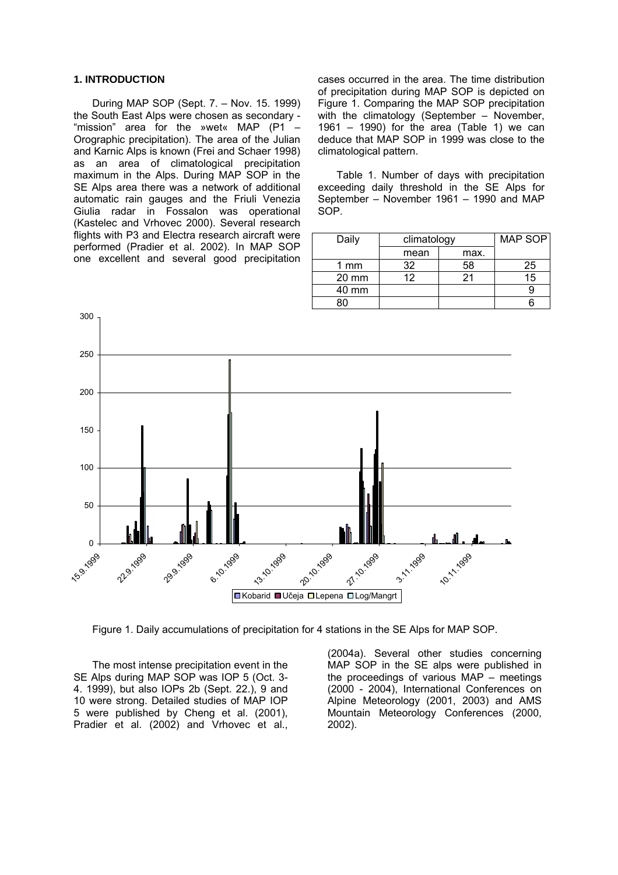#### **1. INTRODUCTION**

During MAP SOP (Sept. 7. – Nov. 15. 1999) the South East Alps were chosen as secondary - "mission" area for the »wet« MAP (P1 – Orographic precipitation). The area of the Julian and Karnic Alps is known (Frei and Schaer 1998) as an area of climatological precipitation maximum in the Alps. During MAP SOP in the SE Alps area there was a network of additional automatic rain gauges and the Friuli Venezia Giulia radar in Fossalon was operational (Kastelec and Vrhovec 2000). Several research flights with P3 and Electra research aircraft were performed (Pradier et al. 2002). In MAP SOP one excellent and several good precipitation

cases occurred in the area. The time distribution of precipitation during MAP SOP is depicted on Figure 1. Comparing the MAP SOP precipitation with the climatology (September – November, 1961 – 1990) for the area (Table 1) we can deduce that MAP SOP in 1999 was close to the climatological pattern.

Table 1. Number of days with precipitation exceeding daily threshold in the SE Alps for September – November 1961 – 1990 and MAP SOP.

| Daily           | climatology     |      | MAP SOP |
|-----------------|-----------------|------|---------|
|                 | mean            | max. |         |
| 1 mm            | 32              | 58   | 25      |
| $20 \text{ mm}$ | 12 <sup>°</sup> | 21   | 15      |
| 40 mm           |                 |      |         |
|                 |                 |      |         |



Figure 1. Daily accumulations of precipitation for 4 stations in the SE Alps for MAP SOP.

The most intense precipitation event in the SE Alps during MAP SOP was IOP 5 (Oct. 3- 4. 1999), but also IOPs 2b (Sept. 22.), 9 and 10 were strong. Detailed studies of MAP IOP 5 were published by Cheng et al. (2001), Pradier et al. (2002) and Vrhovec et al.,

(2004a). Several other studies concerning MAP SOP in the SE alps were published in the proceedings of various MAP – meetings (2000 - 2004), International Conferences on Alpine Meteorology (2001, 2003) and AMS Mountain Meteorology Conferences (2000, 2002).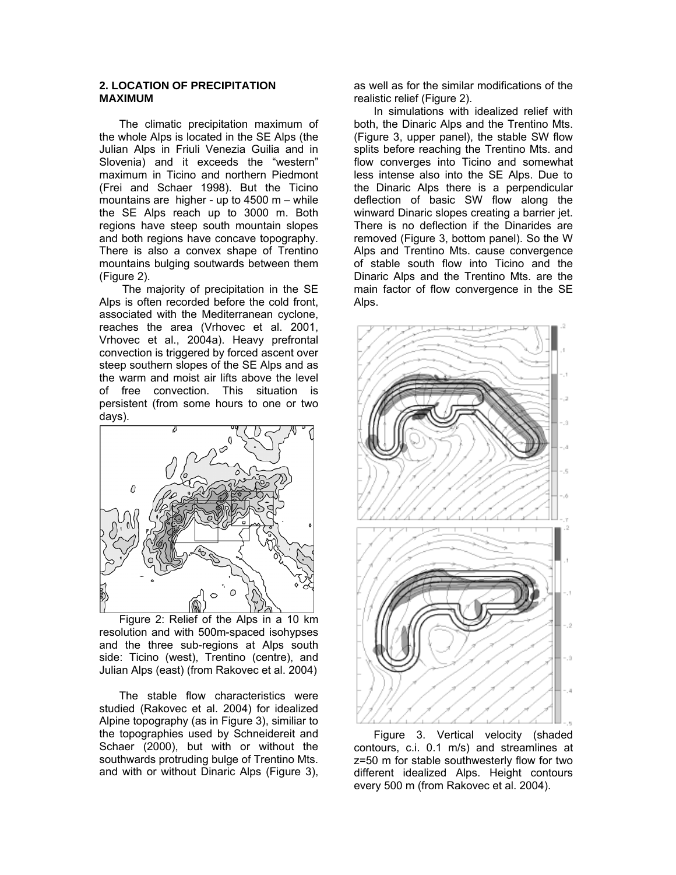# **2. LOCATION OF PRECIPITATION MAXIMUM**

The climatic precipitation maximum of the whole Alps is located in the SE Alps (the Julian Alps in Friuli Venezia Guilia and in Slovenia) and it exceeds the "western" maximum in Ticino and northern Piedmont (Frei and Schaer 1998). But the Ticino mountains are higher - up to 4500 m – while the SE Alps reach up to 3000 m. Both regions have steep south mountain slopes and both regions have concave topography. There is also a convex shape of Trentino mountains bulging soutwards between them (Figure 2).

The majority of precipitation in the SE Alps is often recorded before the cold front, associated with the Mediterranean cyclone, reaches the area (Vrhovec et al. 2001, Vrhovec et al., 2004a). Heavy prefrontal convection is triggered by forced ascent over steep southern slopes of the SE Alps and as the warm and moist air lifts above the level of free convection. This situation is persistent (from some hours to one or two days).



Figure 2: Relief of the Alps in a 10 km resolution and with 500m-spaced isohypses and the three sub-regions at Alps south side: Ticino (west), Trentino (centre), and Julian Alps (east) (from Rakovec et al. 2004)

The stable flow characteristics were studied (Rakovec et al. 2004) for idealized Alpine topography (as in Figure 3), similiar to the topographies used by Schneidereit and Schaer (2000), but with or without the southwards protruding bulge of Trentino Mts. and with or without Dinaric Alps (Figure 3),

as well as for the similar modifications of the realistic relief (Figure 2).

In simulations with idealized relief with both, the Dinaric Alps and the Trentino Mts. (Figure 3, upper panel), the stable SW flow splits before reaching the Trentino Mts. and flow converges into Ticino and somewhat less intense also into the SE Alps. Due to the Dinaric Alps there is a perpendicular deflection of basic SW flow along the winward Dinaric slopes creating a barrier jet. There is no deflection if the Dinarides are removed (Figure 3, bottom panel). So the W Alps and Trentino Mts. cause convergence of stable south flow into Ticino and the Dinaric Alps and the Trentino Mts. are the main factor of flow convergence in the SE Alps.



Figure 3. Vertical velocity (shaded contours, c.i. 0.1 m/s) and streamlines at z=50 m for stable southwesterly flow for two different idealized Alps. Height contours every 500 m (from Rakovec et al. 2004).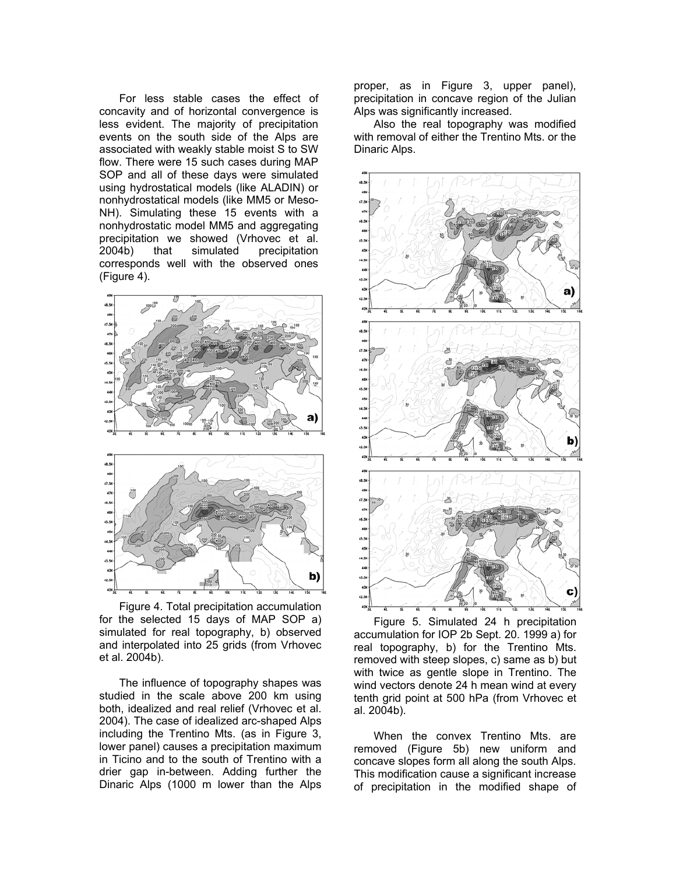For less stable cases the effect of concavity and of horizontal convergence is less evident. The majority of precipitation events on the south side of the Alps are associated with weakly stable moist S to SW flow. There were 15 such cases during MAP SOP and all of these days were simulated using hydrostatical models (like ALADIN) or nonhydrostatical models (like MM5 or Meso-NH). Simulating these 15 events with a nonhydrostatic model MM5 and aggregating precipitation we showed (Vrhovec et al. 2004b) that simulated precipitation corresponds well with the observed ones (Figure 4).



Figure 4. Total precipitation accumulation for the selected 15 days of MAP SOP a) simulated for real topography, b) observed and interpolated into 25 grids (from Vrhovec et al. 2004b).

The influence of topography shapes was studied in the scale above 200 km using both, idealized and real relief (Vrhovec et al. 2004). The case of idealized arc-shaped Alps including the Trentino Mts. (as in Figure 3, lower panel) causes a precipitation maximum in Ticino and to the south of Trentino with a drier gap in-between. Adding further the Dinaric Alps (1000 m lower than the Alps

proper, as in Figure 3, upper panel), precipitation in concave region of the Julian Alps was significantly increased.

Also the real topography was modified with removal of either the Trentino Mts. or the Dinaric Alps.



Figure 5. Simulated 24 h precipitation accumulation for IOP 2b Sept. 20. 1999 a) for real topography, b) for the Trentino Mts. removed with steep slopes, c) same as b) but with twice as gentle slope in Trentino. The wind vectors denote 24 h mean wind at every tenth grid point at 500 hPa (from Vrhovec et al.  $2004b$ ).

When the convex Trentino Mts. are removed (Figure 5b) new uniform and concave slopes form all along the south Alps. This modification cause a significant increase of precipitation in the modified shape of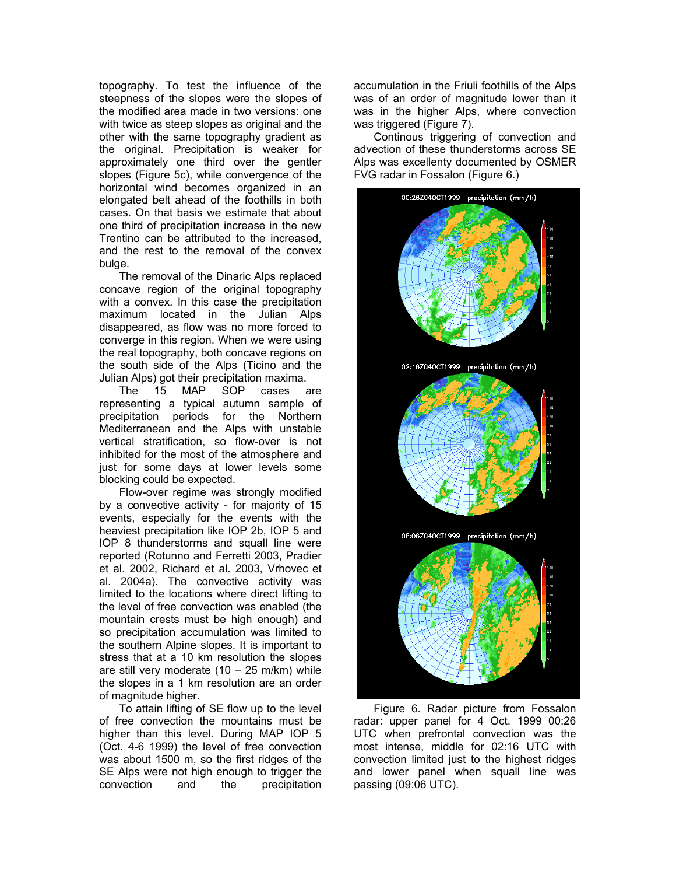topography. To test the influence of the steepness of the slopes were the slopes of the modified area made in two versions: one with twice as steep slopes as original and the other with the same topography gradient as the original. Precipitation is weaker for approximately one third over the gentler slopes (Figure 5c), while convergence of the horizontal wind becomes organized in an elongated belt ahead of the foothills in both cases. On that basis we estimate that about one third of precipitation increase in the new Trentino can be attributed to the increased, and the rest to the removal of the convex bulge.

The removal of the Dinaric Alps replaced concave region of the original topography with a convex. In this case the precipitation maximum located in the Julian Alps disappeared, as flow was no more forced to converge in this region. When we were using the real topography, both concave regions on the south side of the Alps (Ticino and the

Julian Alps) got their precipitation maxima.<br>The 15 MAP SOP cases a The 15 MAP SOP cases are representing a typical autumn sample of precipitation periods for the Northern Mediterranean and the Alps with unstable vertical stratification, so flow-over is not inhibited for the most of the atmosphere and just for some days at lower levels some blocking could be expected.

Flow-over regime was strongly modified by a convective activity - for majority of 15 events, especially for the events with the heaviest precipitation like IOP 2b, IOP 5 and IOP 8 thunderstorms and squall line were reported (Rotunno and Ferretti 2003, Pradier et al. 2002, Richard et al. 2003, Vrhovec et al. 2004a). The convective activity was limited to the locations where direct lifting to the level of free convection was enabled (the mountain crests must be high enough) and so precipitation accumulation was limited to the southern Alpine slopes. It is important to stress that at a 10 km resolution the slopes are still very moderate  $(10 - 25 \text{ m/km})$  while the slopes in a 1 km resolution are an order of magnitude higher.

To attain lifting of SE flow up to the level of free convection the mountains must be higher than this level. During MAP IOP 5 (Oct. 4-6 1999) the level of free convection was about 1500 m, so the first ridges of the SE Alps were not high enough to trigger the convection and the precipitation accumulation in the Friuli foothills of the Alps was of an order of magnitude lower than it was in the higher Alps, where convection was triggered (Figure 7).

Continous triggering of convection and advection of these thunderstorms across SE Alps was excellenty documented by OSMER FVG radar in Fossalon (Figure 6.)



Figure 6. Radar picture from Fossalon radar: upper panel for 4 Oct. 1999 00:26 UTC when prefrontal convection was the most intense, middle for 02:16 UTC with convection limited just to the highest ridges and lower panel when squall line was passing (09:06 UTC).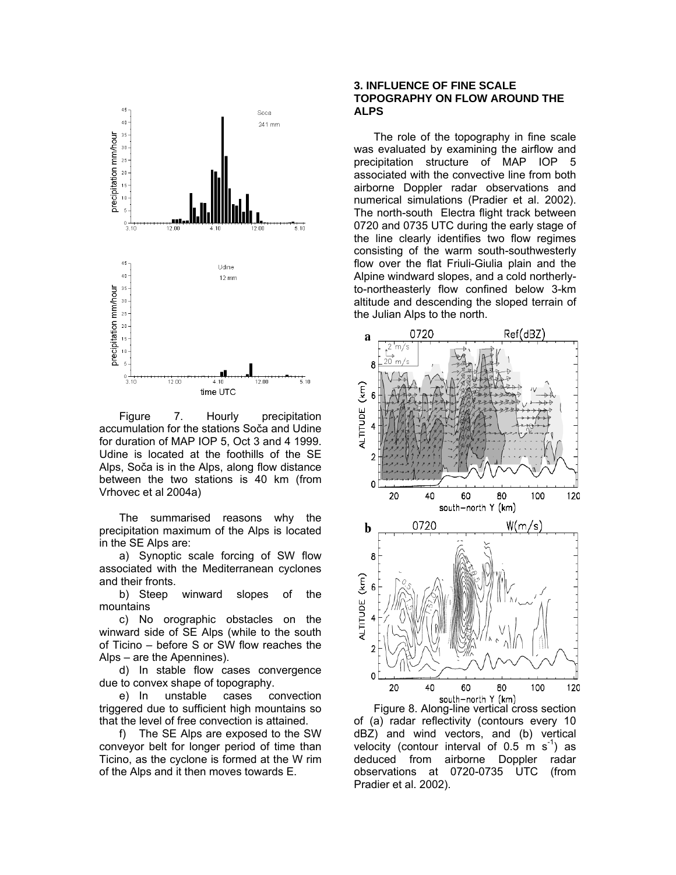

Figure 7. Hourly precipitation accumulation for the stations Soča and Udine for duration of MAP IOP 5, Oct 3 and 4 1999. Udine is located at the foothills of the SE Alps, Soča is in the Alps, along flow distance between the two stations is 40 km (from Vrhovec et al 2004a)

The summarised reasons why the precipitation maximum of the Alps is located in the SE Alps are:

a) Synoptic scale forcing of SW flow associated with the Mediterranean cyclones and their fronts.

b) Steep winward slopes of the mountains

c) No orographic obstacles on the winward side of SE Alps (while to the south of Ticino – before S or SW flow reaches the Alps – are the Apennines).

d) In stable flow cases convergence due to convex shape of topography.

e) In unstable cases convection triggered due to sufficient high mountains so that the level of free convection is attained.

f) The SE Alps are exposed to the SW conveyor belt for longer period of time than Ticino, as the cyclone is formed at the W rim of the Alps and it then moves towards E.

# **3. INFLUENCE OF FINE SCALE TOPOGRAPHY ON FLOW AROUND THE ALPS**

The role of the topography in fine scale was evaluated by examining the airflow and precipitation structure of MAP IOP 5 associated with the convective line from both airborne Doppler radar observations and numerical simulations (Pradier et al. 2002). The north-south Electra flight track between 0720 and 0735 UTC during the early stage of the line clearly identifies two flow regimes consisting of the warm south-southwesterly flow over the flat Friuli-Giulia plain and the Alpine windward slopes, and a cold northerlyto-northeasterly flow confined below 3-km altitude and descending the sloped terrain of the Julian Alps to the north.



of (a) radar reflectivity (contours every 10 dBZ) and wind vectors, and (b) vertical velocity (contour interval of  $0.5 \text{ m s}^{-1}$ ) as deduced from airborne Doppler radar observations at 0720-0735 UTC (from Pradier et al. 2002).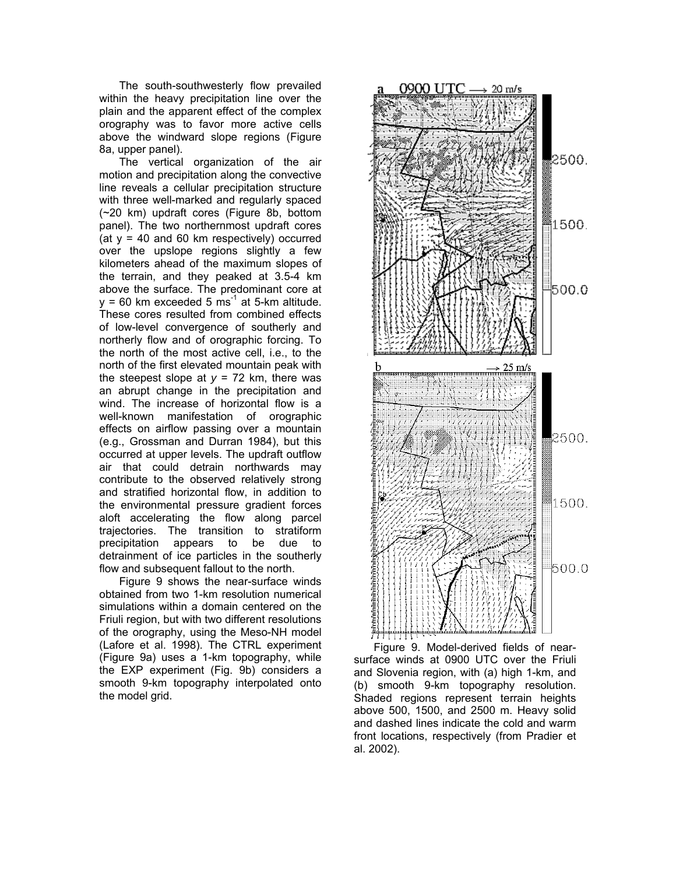The south-southwesterly flow prevailed within the heavy precipitation line over the plain and the apparent effect of the complex orography was to favor more active cells above the windward slope regions (Figure 8a, upper panel).

The vertical organization of the air motion and precipitation along the convective line reveals a cellular precipitation structure with three well-marked and regularly spaced (~20 km) updraft cores (Figure 8b, bottom panel). The two northernmost updraft cores (at  $y = 40$  and 60 km respectively) occurred over the upslope regions slightly a few kilometers ahead of the maximum slopes of the terrain, and they peaked at 3.5-4 km above the surface. The predominant core at  $y = 60$  km exceeded 5 ms<sup>-1</sup> at 5-km altitude. These cores resulted from combined effects of low-level convergence of southerly and northerly flow and of orographic forcing. To the north of the most active cell, i.e., to the north of the first elevated mountain peak with the steepest slope at  $y = 72$  km, there was an abrupt change in the precipitation and wind. The increase of horizontal flow is a well-known manifestation of orographic effects on airflow passing over a mountain (e.g., Grossman and Durran 1984), but this occurred at upper levels. The updraft outflow air that could detrain northwards may contribute to the observed relatively strong and stratified horizontal flow, in addition to the environmental pressure gradient forces aloft accelerating the flow along parcel trajectories. The transition to stratiform precipitation appears to be due to detrainment of ice particles in the southerly flow and subsequent fallout to the north.

Figure 9 shows the near-surface winds obtained from two 1-km resolution numerical simulations within a domain centered on the Friuli region, but with two different resolutions of the orography, using the Meso-NH model (Lafore et al. 1998). The CTRL experiment (Figure 9a) uses a 1-km topography, while the EXP experiment (Fig. 9b) considers a smooth 9-km topography interpolated onto the model grid.



Figure 9. Model-derived fields of nearsurface winds at 0900 UTC over the Friuli and Slovenia region, with (a) high 1-km, and (b) smooth 9-km topography resolution. Shaded regions represent terrain heights above 500, 1500, and 2500 m. Heavy solid and dashed lines indicate the cold and warm front locations, respectively (from Pradier et al. 2002).